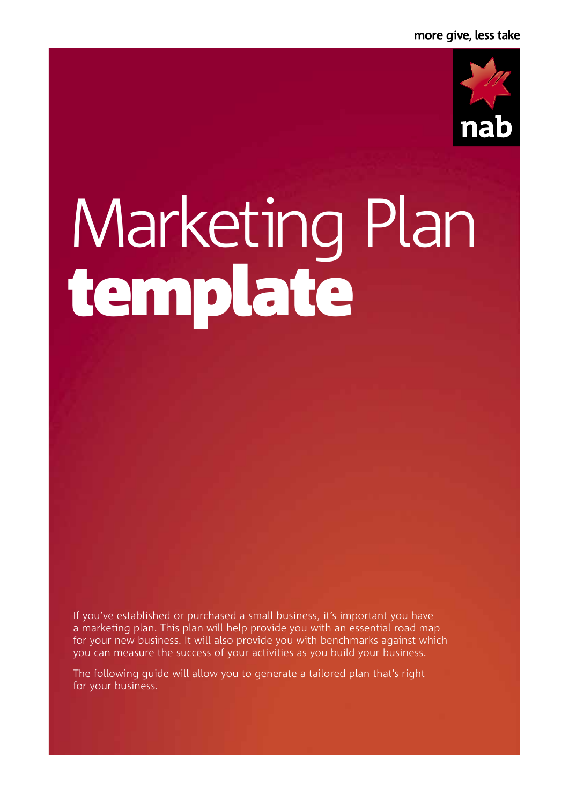

# Marketing Plan template

If you've established or purchased a small business, it's important you have a marketing plan. This plan will help provide you with an essential road map for your new business. It will also provide you with benchmarks against which you can measure the success of your activities as you build your business.

The following guide will allow you to generate a tailored plan that's right for your business.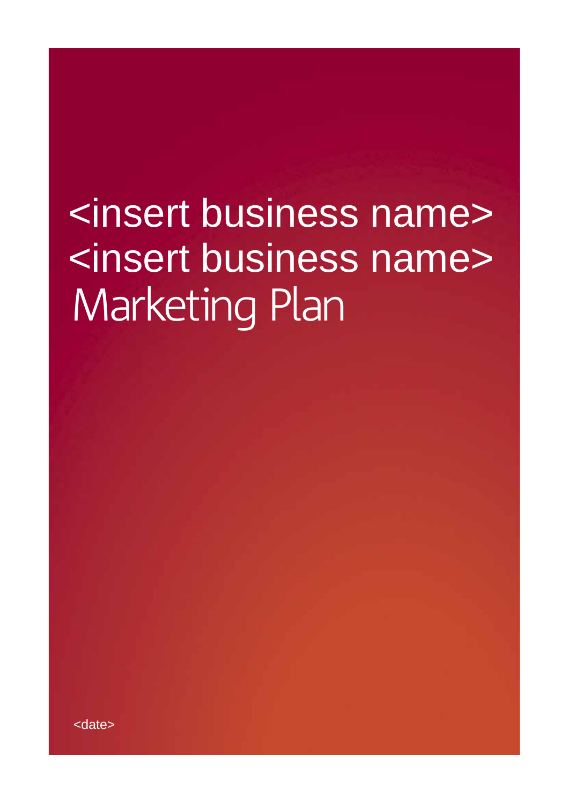# Marketing Plan <insert business name> <insert business name>

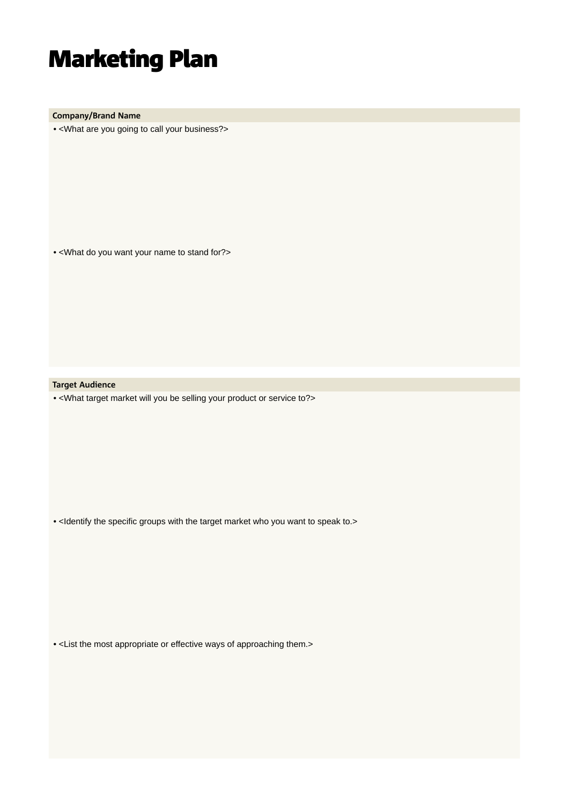**Company/Brand Name**

• <What are you going to call your business?>

• <What do you want your name to stand for?>

**Target Audience**

• <What target market will you be selling your product or service to?>

• <Identify the specific groups with the target market who you want to speak to.>

• <List the most appropriate or effective ways of approaching them.>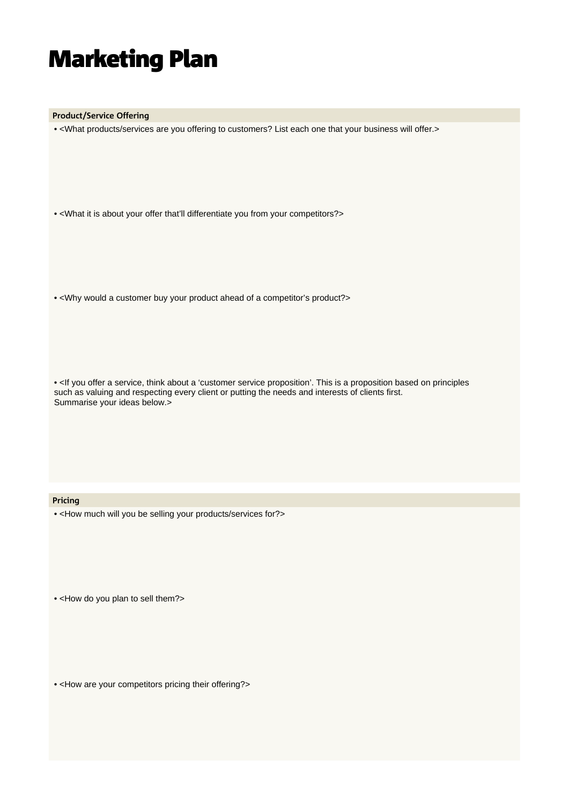**Product/Service Offering**

• <What products/services are you offering to customers? List each one that your business will offer.>

• <What it is about your offer that'll differentiate you from your competitors?>

• <Why would a customer buy your product ahead of a competitor's product?>

 such as valuing and respecting every client or putting the needs and interests of clients first. • <If you offer a service, think about a 'customer service proposition'. This is a proposition based on principles Summarise your ideas below.>

#### **Pricing**

• <How much will you be selling your products/services for?>

• <How do you plan to sell them?>

• <How are your competitors pricing their offering?>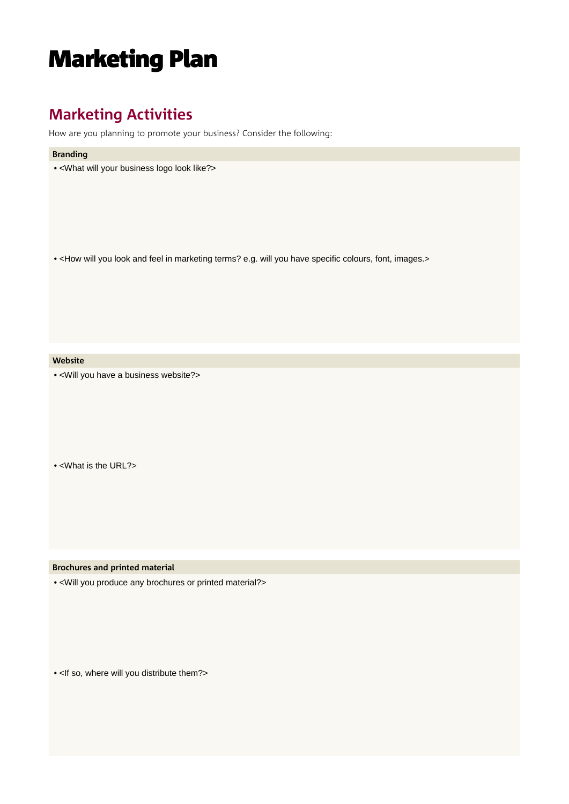### **Marketing Activities**

How are you planning to promote your business? Consider the following:

#### **Branding**

• <What will your business logo look like?>

• <How will you look and feel in marketing terms? e.g. will you have specific colours, font, images.>

#### **Website**

• <Will you have a business website?>

• <What is the URL?>

**Brochures and printed material**

• <Will you produce any brochures or printed material?>

• <If so, where will you distribute them?>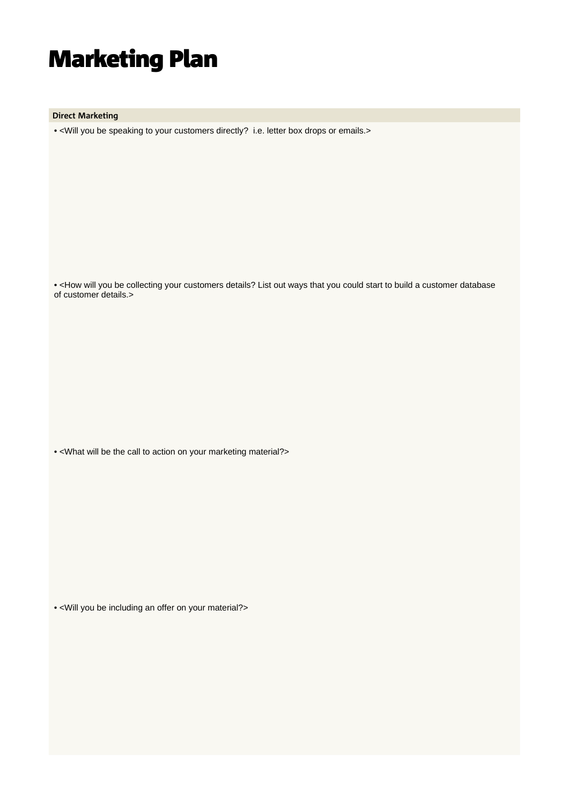**Direct Marketing**

• <Will you be speaking to your customers directly? i.e. letter box drops or emails.>

 • <How will you be collecting your customers details? List out ways that you could start to build a customer database of customer details.>

• <What will be the call to action on your marketing material?>

• <Will you be including an offer on your material?>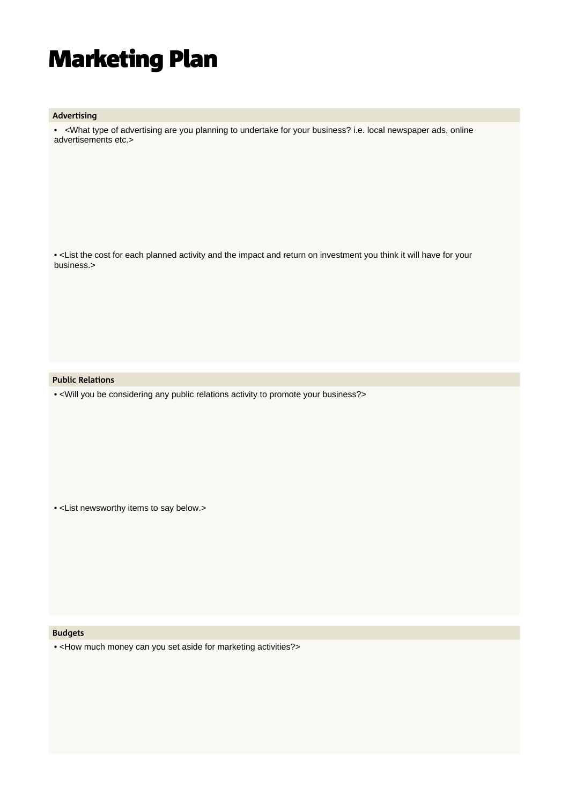#### **Advertising**

 • <What type of advertising are you planning to undertake for your business? i.e. local newspaper ads, online advertisements etc.>

• <List the cost for each planned activity and the impact and return on investment you think it will have for your business.>

#### **Public Relations**

• <Will you be considering any public relations activity to promote your business?>

• <List newsworthy items to say below.>

#### **Budgets**

• <How much money can you set aside for marketing activities?>